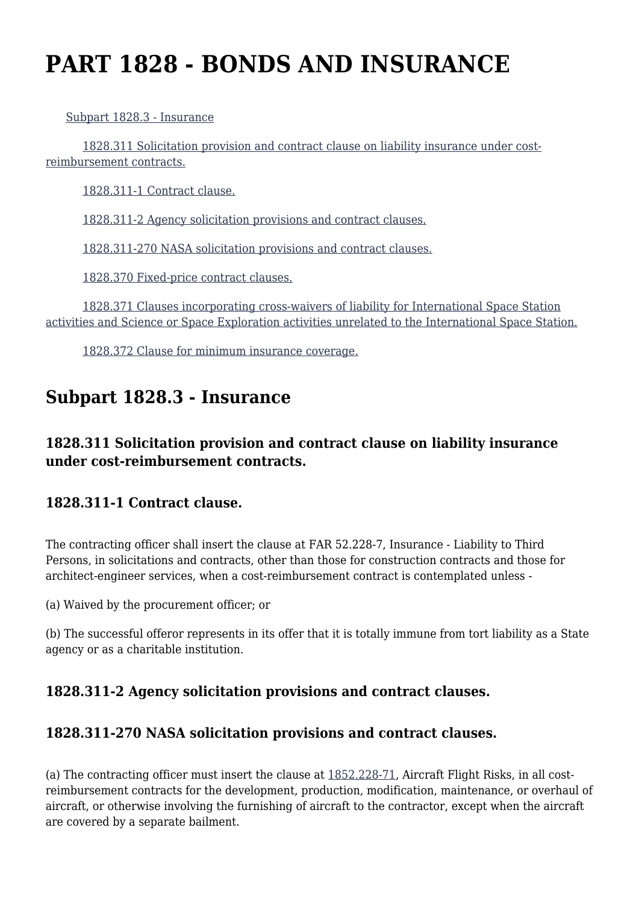# **PART 1828 - BONDS AND INSURANCE**

[Subpart 1828.3 - Insurance](https://login.acquisition.gov/%5Brp:link:nfs-part-1828%5D#Subpart_1828_3_T48_60420231)

 [1828.311 Solicitation provision and contract clause on liability insurance under cost](https://login.acquisition.gov/%5Brp:link:nfs-part-1828%5D#Section_1828_311_T48_6042023111)[reimbursement contracts.](https://login.acquisition.gov/%5Brp:link:nfs-part-1828%5D#Section_1828_311_T48_6042023111)

[1828.311-1 Contract clause.](https://login.acquisition.gov/%5Brp:link:nfs-part-1828%5D#Section_1828_311_1_T48_6042023112)

[1828.311-2 Agency solicitation provisions and contract clauses.](https://login.acquisition.gov/%5Brp:link:nfs-part-1828%5D#Section_1828_311_2_T48_6042023113)

[1828.311-270 NASA solicitation provisions and contract clauses.](https://login.acquisition.gov/%5Brp:link:nfs-part-1828%5D#Section_1828_311_270_T48_6042023114)

[1828.370 Fixed-price contract clauses.](https://login.acquisition.gov/%5Brp:link:nfs-part-1828%5D#Section_1828_370_T48_6042023115)

 [1828.371 Clauses incorporating cross-waivers of liability for International Space Station](https://login.acquisition.gov/%5Brp:link:nfs-part-1828%5D#Section_1828_371_T48_6042023116) [activities and Science or Space Exploration activities unrelated to the International Space Station.](https://login.acquisition.gov/%5Brp:link:nfs-part-1828%5D#Section_1828_371_T48_6042023116)

[1828.372 Clause for minimum insurance coverage.](https://login.acquisition.gov/%5Brp:link:nfs-part-1828%5D#Section_1828_372_T48_6042023117)

## **Subpart 1828.3 - Insurance**

#### **1828.311 Solicitation provision and contract clause on liability insurance under cost-reimbursement contracts.**

#### **1828.311-1 Contract clause.**

The contracting officer shall insert the clause at FAR 52.228-7, Insurance - Liability to Third Persons, in solicitations and contracts, other than those for construction contracts and those for architect-engineer services, when a cost-reimbursement contract is contemplated unless -

(a) Waived by the procurement officer; or

(b) The successful offeror represents in its offer that it is totally immune from tort liability as a State agency or as a charitable institution.

#### **1828.311-2 Agency solicitation provisions and contract clauses.**

#### **1828.311-270 NASA solicitation provisions and contract clauses.**

(a) The contracting officer must insert the clause at [1852.228-71,](https://login.acquisition.gov/%5Brp:link:nfs-part-1852%5D#Section_1852_228_71_T48_60423441176) Aircraft Flight Risks, in all costreimbursement contracts for the development, production, modification, maintenance, or overhaul of aircraft, or otherwise involving the furnishing of aircraft to the contractor, except when the aircraft are covered by a separate bailment.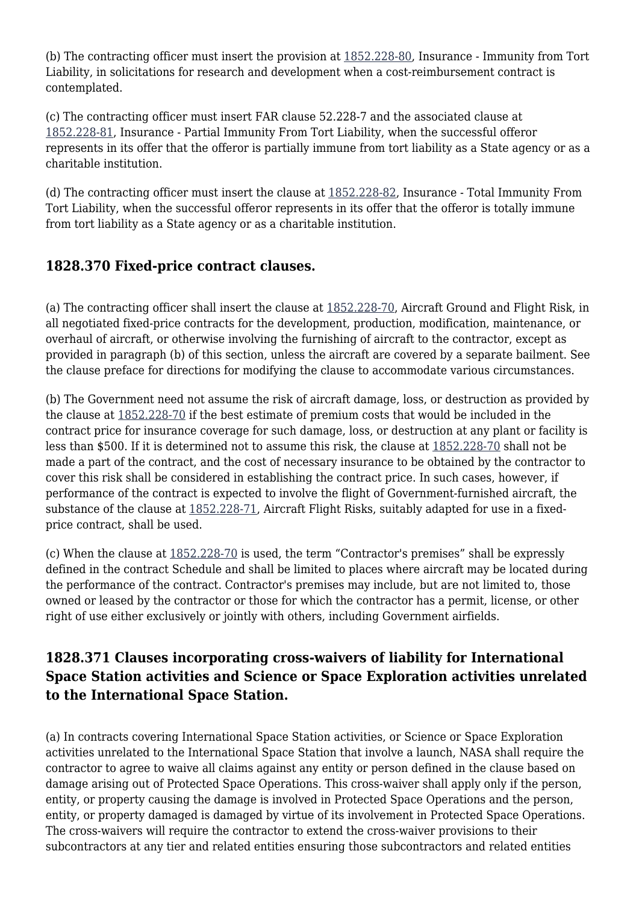(b) The contracting officer must insert the provision at [1852.228-80,](https://login.acquisition.gov/%5Brp:link:nfs-part-1852%5D#Section_1852_228_80_T48_60423441180) Insurance - Immunity from Tort Liability, in solicitations for research and development when a cost-reimbursement contract is contemplated.

(c) The contracting officer must insert FAR clause 52.228-7 and the associated clause at [1852.228-81,](https://login.acquisition.gov/%5Brp:link:nfs-part-1852%5D#Section_1852_228_81_T48_60423441181) Insurance - Partial Immunity From Tort Liability, when the successful offeror represents in its offer that the offeror is partially immune from tort liability as a State agency or as a charitable institution.

(d) The contracting officer must insert the clause at [1852.228-82](https://login.acquisition.gov/%5Brp:link:nfs-part-1852%5D#Section_1852_228_82_T48_60423441182), Insurance - Total Immunity From Tort Liability, when the successful offeror represents in its offer that the offeror is totally immune from tort liability as a State agency or as a charitable institution.

### **1828.370 Fixed-price contract clauses.**

(a) The contracting officer shall insert the clause at [1852.228-70,](https://login.acquisition.gov/%5Brp:link:nfs-part-1852%5D#Section_1852_228_70_T48_60423441175) Aircraft Ground and Flight Risk, in all negotiated fixed-price contracts for the development, production, modification, maintenance, or overhaul of aircraft, or otherwise involving the furnishing of aircraft to the contractor, except as provided in paragraph (b) of this section, unless the aircraft are covered by a separate bailment. See the clause preface for directions for modifying the clause to accommodate various circumstances.

(b) The Government need not assume the risk of aircraft damage, loss, or destruction as provided by the clause at [1852.228-70](https://login.acquisition.gov/%5Brp:link:nfs-part-1852%5D#Section_1852_228_70_T48_60423441175) if the best estimate of premium costs that would be included in the contract price for insurance coverage for such damage, loss, or destruction at any plant or facility is less than \$500. If it is determined not to assume this risk, the clause at [1852.228-70](https://login.acquisition.gov/%5Brp:link:nfs-part-1852%5D#Section_1852_228_70_T48_60423441175) shall not be made a part of the contract, and the cost of necessary insurance to be obtained by the contractor to cover this risk shall be considered in establishing the contract price. In such cases, however, if performance of the contract is expected to involve the flight of Government-furnished aircraft, the substance of the clause at [1852.228-71](https://login.acquisition.gov/%5Brp:link:nfs-part-1852%5D#Section_1852_228_71_T48_60423441176), Aircraft Flight Risks, suitably adapted for use in a fixedprice contract, shall be used.

(c) When the clause at [1852.228-70](https://login.acquisition.gov/%5Brp:link:nfs-part-1852%5D#Section_1852_228_70_T48_60423441175) is used, the term "Contractor's premises" shall be expressly defined in the contract Schedule and shall be limited to places where aircraft may be located during the performance of the contract. Contractor's premises may include, but are not limited to, those owned or leased by the contractor or those for which the contractor has a permit, license, or other right of use either exclusively or jointly with others, including Government airfields.

#### **1828.371 Clauses incorporating cross-waivers of liability for International Space Station activities and Science or Space Exploration activities unrelated to the International Space Station.**

(a) In contracts covering International Space Station activities, or Science or Space Exploration activities unrelated to the International Space Station that involve a launch, NASA shall require the contractor to agree to waive all claims against any entity or person defined in the clause based on damage arising out of Protected Space Operations. This cross-waiver shall apply only if the person, entity, or property causing the damage is involved in Protected Space Operations and the person, entity, or property damaged is damaged by virtue of its involvement in Protected Space Operations. The cross-waivers will require the contractor to extend the cross-waiver provisions to their subcontractors at any tier and related entities ensuring those subcontractors and related entities